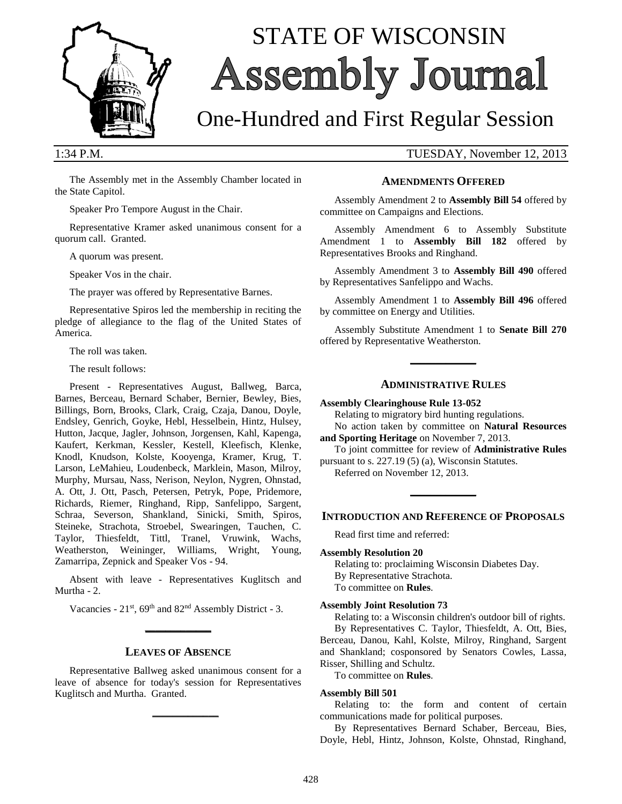

# STATE OF WISCONSIN Assembly Journal

## One-Hundred and First Regular Session

1:34 P.M. TUESDAY, November 12, 2013

The Assembly met in the Assembly Chamber located in the State Capitol.

Speaker Pro Tempore August in the Chair.

Representative Kramer asked unanimous consent for a quorum call. Granted.

A quorum was present.

Speaker Vos in the chair.

The prayer was offered by Representative Barnes.

Representative Spiros led the membership in reciting the pledge of allegiance to the flag of the United States of America.

The roll was taken.

The result follows:

Present - Representatives August, Ballweg, Barca, Barnes, Berceau, Bernard Schaber, Bernier, Bewley, Bies, Billings, Born, Brooks, Clark, Craig, Czaja, Danou, Doyle, Endsley, Genrich, Goyke, Hebl, Hesselbein, Hintz, Hulsey, Hutton, Jacque, Jagler, Johnson, Jorgensen, Kahl, Kapenga, Kaufert, Kerkman, Kessler, Kestell, Kleefisch, Klenke, Knodl, Knudson, Kolste, Kooyenga, Kramer, Krug, T. Larson, LeMahieu, Loudenbeck, Marklein, Mason, Milroy, Murphy, Mursau, Nass, Nerison, Neylon, Nygren, Ohnstad, A. Ott, J. Ott, Pasch, Petersen, Petryk, Pope, Pridemore, Richards, Riemer, Ringhand, Ripp, Sanfelippo, Sargent, Schraa, Severson, Shankland, Sinicki, Smith, Spiros, Steineke, Strachota, Stroebel, Swearingen, Tauchen, C. Taylor, Thiesfeldt, Tittl, Tranel, Vruwink, Wachs, Weatherston, Weininger, Williams, Wright, Young, Zamarripa, Zepnick and Speaker Vos - 94.

Absent with leave - Representatives Kuglitsch and Murtha - 2.

Vacancies - 21<sup>st</sup>, 69<sup>th</sup> and 82<sup>nd</sup> Assembly District - 3. **\_\_\_\_\_\_\_\_\_\_\_\_\_**

## **LEAVES OF ABSENCE**

Representative Ballweg asked unanimous consent for a leave of absence for today's session for Representatives Kuglitsch and Murtha. Granted.

**\_\_\_\_\_\_\_\_\_\_\_\_\_**

## **AMENDMENTS OFFERED**

Assembly Amendment 2 to **Assembly Bill 54** offered by committee on Campaigns and Elections.

Assembly Amendment 6 to Assembly Substitute Amendment 1 to **Assembly Bill 182** offered by Representatives Brooks and Ringhand.

Assembly Amendment 3 to **Assembly Bill 490** offered by Representatives Sanfelippo and Wachs.

Assembly Amendment 1 to **Assembly Bill 496** offered by committee on Energy and Utilities.

Assembly Substitute Amendment 1 to **Senate Bill 270** offered by Representative Weatherston.

**\_\_\_\_\_\_\_\_\_\_\_\_\_**

## **ADMINISTRATIVE RULES**

**Assembly Clearinghouse Rule 13-052**

Relating to migratory bird hunting regulations. No action taken by committee on **Natural Resources** 

**and Sporting Heritage** on November 7, 2013.

To joint committee for review of **Administrative Rules** pursuant to s. 227.19 (5) (a), Wisconsin Statutes.

Referred on November 12, 2013.

## **INTRODUCTION AND REFERENCE OF PROPOSALS**

**\_\_\_\_\_\_\_\_\_\_\_\_\_**

Read first time and referred:

## **Assembly Resolution 20**

Relating to: proclaiming Wisconsin Diabetes Day. By Representative Strachota. To committee on **Rules**.

#### **Assembly Joint Resolution 73**

Relating to: a Wisconsin children's outdoor bill of rights. By Representatives C. Taylor, Thiesfeldt, A. Ott, Bies, Berceau, Danou, Kahl, Kolste, Milroy, Ringhand, Sargent and Shankland; cosponsored by Senators Cowles, Lassa, Risser, Shilling and Schultz.

To committee on **Rules**.

## **Assembly Bill 501**

Relating to: the form and content of certain communications made for political purposes.

By Representatives Bernard Schaber, Berceau, Bies, Doyle, Hebl, Hintz, Johnson, Kolste, Ohnstad, Ringhand,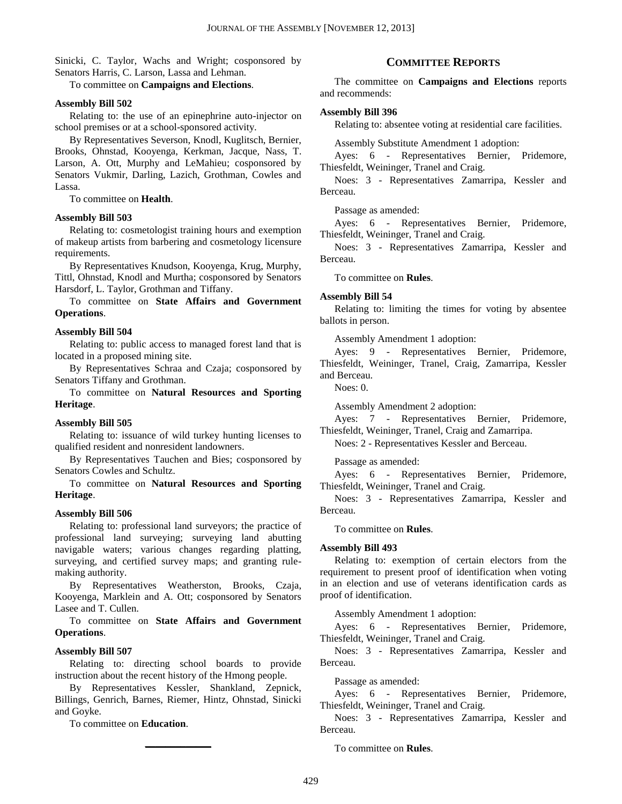Sinicki, C. Taylor, Wachs and Wright; cosponsored by Senators Harris, C. Larson, Lassa and Lehman.

To committee on **Campaigns and Elections**.

## **Assembly Bill 502**

Relating to: the use of an epinephrine auto-injector on school premises or at a school-sponsored activity.

By Representatives Severson, Knodl, Kuglitsch, Bernier, Brooks, Ohnstad, Kooyenga, Kerkman, Jacque, Nass, T. Larson, A. Ott, Murphy and LeMahieu; cosponsored by Senators Vukmir, Darling, Lazich, Grothman, Cowles and Lassa.

To committee on **Health**.

## **Assembly Bill 503**

Relating to: cosmetologist training hours and exemption of makeup artists from barbering and cosmetology licensure requirements.

By Representatives Knudson, Kooyenga, Krug, Murphy, Tittl, Ohnstad, Knodl and Murtha; cosponsored by Senators Harsdorf, L. Taylor, Grothman and Tiffany.

To committee on **State Affairs and Government Operations**.

## **Assembly Bill 504**

Relating to: public access to managed forest land that is located in a proposed mining site.

By Representatives Schraa and Czaja; cosponsored by Senators Tiffany and Grothman.

To committee on **Natural Resources and Sporting Heritage**.

## **Assembly Bill 505**

Relating to: issuance of wild turkey hunting licenses to qualified resident and nonresident landowners.

By Representatives Tauchen and Bies; cosponsored by Senators Cowles and Schultz.

To committee on **Natural Resources and Sporting Heritage**.

## **Assembly Bill 506**

Relating to: professional land surveyors; the practice of professional land surveying; surveying land abutting navigable waters; various changes regarding platting, surveying, and certified survey maps; and granting rulemaking authority.

By Representatives Weatherston, Brooks, Czaja, Kooyenga, Marklein and A. Ott; cosponsored by Senators Lasee and T. Cullen.

To committee on **State Affairs and Government Operations**.

## **Assembly Bill 507**

Relating to: directing school boards to provide instruction about the recent history of the Hmong people.

By Representatives Kessler, Shankland, Zepnick, Billings, Genrich, Barnes, Riemer, Hintz, Ohnstad, Sinicki and Goyke.

**\_\_\_\_\_\_\_\_\_\_\_\_\_**

To committee on **Education**.

## **COMMITTEE REPORTS**

The committee on **Campaigns and Elections** reports and recommends:

## **Assembly Bill 396**

Relating to: absentee voting at residential care facilities.

Assembly Substitute Amendment 1 adoption:

Ayes: 6 - Representatives Bernier, Pridemore, Thiesfeldt, Weininger, Tranel and Craig.

Noes: 3 - Representatives Zamarripa, Kessler and Berceau.

Passage as amended:

Ayes: 6 - Representatives Bernier, Pridemore, Thiesfeldt, Weininger, Tranel and Craig.

Noes: 3 - Representatives Zamarripa, Kessler and Berceau.

To committee on **Rules**.

## **Assembly Bill 54**

Relating to: limiting the times for voting by absentee ballots in person.

Assembly Amendment 1 adoption:

Ayes: 9 - Representatives Bernier, Pridemore, Thiesfeldt, Weininger, Tranel, Craig, Zamarripa, Kessler and Berceau.

Noes: 0.

Assembly Amendment 2 adoption:

Ayes: 7 - Representatives Bernier, Pridemore, Thiesfeldt, Weininger, Tranel, Craig and Zamarripa.

Noes: 2 - Representatives Kessler and Berceau.

Passage as amended:

Ayes: 6 - Representatives Bernier, Pridemore, Thiesfeldt, Weininger, Tranel and Craig.

Noes: 3 - Representatives Zamarripa, Kessler and Berceau.

To committee on **Rules**.

## **Assembly Bill 493**

Relating to: exemption of certain electors from the requirement to present proof of identification when voting in an election and use of veterans identification cards as proof of identification.

Assembly Amendment 1 adoption:

Ayes: 6 - Representatives Bernier, Pridemore, Thiesfeldt, Weininger, Tranel and Craig.

Noes: 3 - Representatives Zamarripa, Kessler and Berceau.

Passage as amended:

Ayes: 6 - Representatives Bernier, Pridemore, Thiesfeldt, Weininger, Tranel and Craig.

Noes: 3 - Representatives Zamarripa, Kessler and Berceau.

To committee on **Rules**.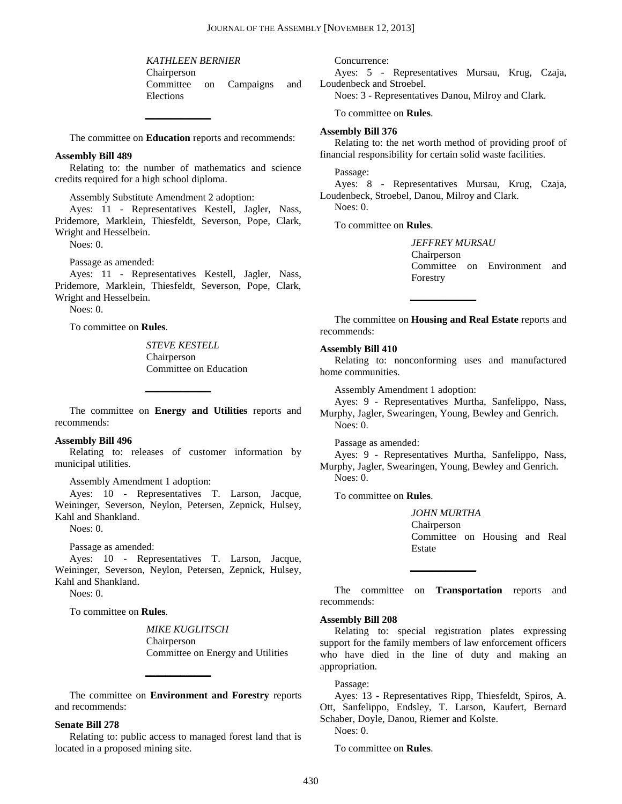*KATHLEEN BERNIER* Chairperson Committee on Campaigns and Elections

The committee on **Education** reports and recommends:

**\_\_\_\_\_\_\_\_\_\_\_\_\_**

## **Assembly Bill 489**

Relating to: the number of mathematics and science credits required for a high school diploma.

Assembly Substitute Amendment 2 adoption:

Ayes: 11 - Representatives Kestell, Jagler, Nass, Pridemore, Marklein, Thiesfeldt, Severson, Pope, Clark, Wright and Hesselbein.

Noes: 0.

Passage as amended:

Ayes: 11 - Representatives Kestell, Jagler, Nass, Pridemore, Marklein, Thiesfeldt, Severson, Pope, Clark, Wright and Hesselbein.

Noes: 0.

To committee on **Rules**.

*STEVE KESTELL* Chairperson Committee on Education

The committee on **Energy and Utilities** reports and recommends:

**\_\_\_\_\_\_\_\_\_\_\_\_\_**

## **Assembly Bill 496**

Relating to: releases of customer information by municipal utilities.

Assembly Amendment 1 adoption:

Ayes: 10 - Representatives T. Larson, Jacque, Weininger, Severson, Neylon, Petersen, Zepnick, Hulsey, Kahl and Shankland.

Noes: 0.

Passage as amended:

Ayes: 10 - Representatives T. Larson, Jacque, Weininger, Severson, Neylon, Petersen, Zepnick, Hulsey, Kahl and Shankland.

Noes: 0.

To committee on **Rules**.

*MIKE KUGLITSCH* Chairperson Committee on Energy and Utilities

The committee on **Environment and Forestry** reports and recommends:

**\_\_\_\_\_\_\_\_\_\_\_\_\_**

## **Senate Bill 278**

Relating to: public access to managed forest land that is located in a proposed mining site.

Concurrence:

Ayes: 5 - Representatives Mursau, Krug, Czaja, Loudenbeck and Stroebel. Noes: 3 - Representatives Danou, Milroy and Clark.

To committee on **Rules**.

#### **Assembly Bill 376**

Relating to: the net worth method of providing proof of financial responsibility for certain solid waste facilities.

Passage:

Ayes: 8 - Representatives Mursau, Krug, Czaja, Loudenbeck, Stroebel, Danou, Milroy and Clark.

Noes: 0.

To committee on **Rules**.

*JEFFREY MURSAU* Chairperson Committee on Environment and Forestry

The committee on **Housing and Real Estate** reports and recommends:

**\_\_\_\_\_\_\_\_\_\_\_\_\_**

#### **Assembly Bill 410**

Relating to: nonconforming uses and manufactured home communities.

Assembly Amendment 1 adoption:

Ayes: 9 - Representatives Murtha, Sanfelippo, Nass, Murphy, Jagler, Swearingen, Young, Bewley and Genrich. Noes: 0.

Passage as amended:

Ayes: 9 - Representatives Murtha, Sanfelippo, Nass, Murphy, Jagler, Swearingen, Young, Bewley and Genrich. Noes: 0.

To committee on **Rules**.

*JOHN MURTHA* Chairperson Committee on Housing and Real Estate

The committee on **Transportation** reports and recommends:

**\_\_\_\_\_\_\_\_\_\_\_\_\_**

## **Assembly Bill 208**

Relating to: special registration plates expressing support for the family members of law enforcement officers who have died in the line of duty and making an appropriation.

Passage:

Ayes: 13 - Representatives Ripp, Thiesfeldt, Spiros, A. Ott, Sanfelippo, Endsley, T. Larson, Kaufert, Bernard Schaber, Doyle, Danou, Riemer and Kolste.

Noes: 0.

To committee on **Rules**.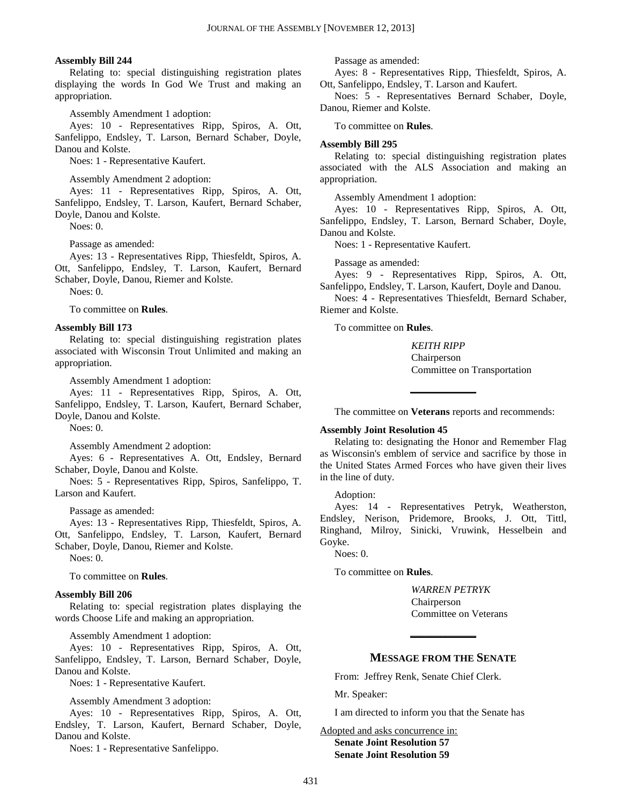#### **Assembly Bill 244**

Relating to: special distinguishing registration plates displaying the words In God We Trust and making an appropriation.

Assembly Amendment 1 adoption:

Ayes: 10 - Representatives Ripp, Spiros, A. Ott, Sanfelippo, Endsley, T. Larson, Bernard Schaber, Doyle, Danou and Kolste.

Noes: 1 - Representative Kaufert.

Assembly Amendment 2 adoption:

Ayes: 11 - Representatives Ripp, Spiros, A. Ott, Sanfelippo, Endsley, T. Larson, Kaufert, Bernard Schaber, Doyle, Danou and Kolste.

Noes: 0.

Passage as amended:

Ayes: 13 - Representatives Ripp, Thiesfeldt, Spiros, A. Ott, Sanfelippo, Endsley, T. Larson, Kaufert, Bernard Schaber, Doyle, Danou, Riemer and Kolste.

Noes: 0.

To committee on **Rules**.

#### **Assembly Bill 173**

Relating to: special distinguishing registration plates associated with Wisconsin Trout Unlimited and making an appropriation.

Assembly Amendment 1 adoption:

Ayes: 11 - Representatives Ripp, Spiros, A. Ott, Sanfelippo, Endsley, T. Larson, Kaufert, Bernard Schaber, Doyle, Danou and Kolste.

Noes: 0.

Assembly Amendment 2 adoption:

Ayes: 6 - Representatives A. Ott, Endsley, Bernard Schaber, Doyle, Danou and Kolste.

Noes: 5 - Representatives Ripp, Spiros, Sanfelippo, T. Larson and Kaufert.

Passage as amended:

Ayes: 13 - Representatives Ripp, Thiesfeldt, Spiros, A. Ott, Sanfelippo, Endsley, T. Larson, Kaufert, Bernard Schaber, Doyle, Danou, Riemer and Kolste.

Noes: 0.

To committee on **Rules**.

## **Assembly Bill 206**

Relating to: special registration plates displaying the words Choose Life and making an appropriation.

Assembly Amendment 1 adoption:

Ayes: 10 - Representatives Ripp, Spiros, A. Ott, Sanfelippo, Endsley, T. Larson, Bernard Schaber, Doyle, Danou and Kolste.

Noes: 1 - Representative Kaufert.

Assembly Amendment 3 adoption:

Ayes: 10 - Representatives Ripp, Spiros, A. Ott, Endsley, T. Larson, Kaufert, Bernard Schaber, Doyle, Danou and Kolste.

Noes: 1 - Representative Sanfelippo.

Passage as amended:

Ayes: 8 - Representatives Ripp, Thiesfeldt, Spiros, A. Ott, Sanfelippo, Endsley, T. Larson and Kaufert.

Noes: 5 - Representatives Bernard Schaber, Doyle, Danou, Riemer and Kolste.

To committee on **Rules**.

#### **Assembly Bill 295**

Relating to: special distinguishing registration plates associated with the ALS Association and making an appropriation.

Assembly Amendment 1 adoption:

Ayes: 10 - Representatives Ripp, Spiros, A. Ott, Sanfelippo, Endsley, T. Larson, Bernard Schaber, Doyle, Danou and Kolste.

Noes: 1 - Representative Kaufert.

Passage as amended:

Ayes: 9 - Representatives Ripp, Spiros, A. Ott, Sanfelippo, Endsley, T. Larson, Kaufert, Doyle and Danou.

Noes: 4 - Representatives Thiesfeldt, Bernard Schaber, Riemer and Kolste.

To committee on **Rules**.

*KEITH RIPP* Chairperson Committee on Transportation

The committee on **Veterans** reports and recommends:

**\_\_\_\_\_\_\_\_\_\_\_\_\_**

## **Assembly Joint Resolution 45**

Relating to: designating the Honor and Remember Flag as Wisconsin's emblem of service and sacrifice by those in the United States Armed Forces who have given their lives in the line of duty.

Adoption:

Ayes: 14 - Representatives Petryk, Weatherston, Endsley, Nerison, Pridemore, Brooks, J. Ott, Tittl, Ringhand, Milroy, Sinicki, Vruwink, Hesselbein and Goyke.

Noes: 0.

To committee on **Rules**.

*WARREN PETRYK* Chairperson Committee on Veterans

## **MESSAGE FROM THE SENATE**

**\_\_\_\_\_\_\_\_\_\_\_\_\_**

From: Jeffrey Renk, Senate Chief Clerk.

Mr. Speaker:

I am directed to inform you that the Senate has

Adopted and asks concurrence in: **Senate Joint Resolution 57 Senate Joint Resolution 59**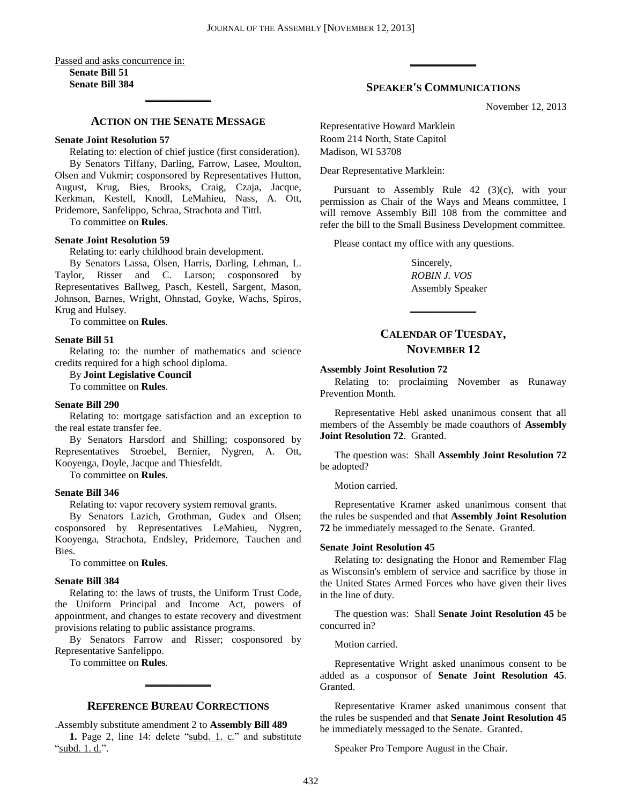Passed and asks concurrence in: **Senate Bill 51**

**Senate Bill 384 \_\_\_\_\_\_\_\_\_\_\_\_\_**

## **ACTION ON THE SENATE MESSAGE**

## **Senate Joint Resolution 57**

Relating to: election of chief justice (first consideration). By Senators Tiffany, Darling, Farrow, Lasee, Moulton, Olsen and Vukmir; cosponsored by Representatives Hutton, August, Krug, Bies, Brooks, Craig, Czaja, Jacque, Kerkman, Kestell, Knodl, LeMahieu, Nass, A. Ott, Pridemore, Sanfelippo, Schraa, Strachota and Tittl.

To committee on **Rules**.

#### **Senate Joint Resolution 59**

Relating to: early childhood brain development.

By Senators Lassa, Olsen, Harris, Darling, Lehman, L. Taylor, Risser and C. Larson; cosponsored by Representatives Ballweg, Pasch, Kestell, Sargent, Mason, Johnson, Barnes, Wright, Ohnstad, Goyke, Wachs, Spiros, Krug and Hulsey.

To committee on **Rules**.

#### **Senate Bill 51**

Relating to: the number of mathematics and science credits required for a high school diploma.

By **Joint Legislative Council**

To committee on **Rules**.

## **Senate Bill 290**

Relating to: mortgage satisfaction and an exception to the real estate transfer fee.

By Senators Harsdorf and Shilling; cosponsored by Representatives Stroebel, Bernier, Nygren, A. Ott, Kooyenga, Doyle, Jacque and Thiesfeldt.

To committee on **Rules**.

## **Senate Bill 346**

Relating to: vapor recovery system removal grants.

By Senators Lazich, Grothman, Gudex and Olsen; cosponsored by Representatives LeMahieu, Nygren, Kooyenga, Strachota, Endsley, Pridemore, Tauchen and Bies.

To committee on **Rules**.

#### **Senate Bill 384**

Relating to: the laws of trusts, the Uniform Trust Code, the Uniform Principal and Income Act, powers of appointment, and changes to estate recovery and divestment provisions relating to public assistance programs.

By Senators Farrow and Risser; cosponsored by Representative Sanfelippo.

To committee on **Rules**.

## **REFERENCE BUREAU CORRECTIONS**

**\_\_\_\_\_\_\_\_\_\_\_\_\_**

.Assembly substitute amendment 2 to **Assembly Bill 489**

1. Page 2, line 14: delete "subd. 1. c." and substitute 'subd.  $1. d.''.$ 

## **SPEAKER'S COMMUNICATIONS**

**\_\_\_\_\_\_\_\_\_\_\_\_\_**

November 12, 2013

Representative Howard Marklein Room 214 North, State Capitol Madison, WI 53708

Dear Representative Marklein:

Pursuant to Assembly Rule 42 (3)(c), with your permission as Chair of the Ways and Means committee, I will remove Assembly Bill 108 from the committee and refer the bill to the Small Business Development committee.

Please contact my office with any questions.

Sincerely, *ROBIN J. VOS* Assembly Speaker

## **CALENDAR OF TUESDAY, NOVEMBER 12**

**\_\_\_\_\_\_\_\_\_\_\_\_\_**

## **Assembly Joint Resolution 72**

Relating to: proclaiming November as Runaway Prevention Month.

Representative Hebl asked unanimous consent that all members of the Assembly be made coauthors of **Assembly Joint Resolution 72**. Granted.

The question was: Shall **Assembly Joint Resolution 72** be adopted?

Motion carried.

Representative Kramer asked unanimous consent that the rules be suspended and that **Assembly Joint Resolution 72** be immediately messaged to the Senate. Granted.

#### **Senate Joint Resolution 45**

Relating to: designating the Honor and Remember Flag as Wisconsin's emblem of service and sacrifice by those in the United States Armed Forces who have given their lives in the line of duty.

The question was: Shall **Senate Joint Resolution 45** be concurred in?

Motion carried.

Representative Wright asked unanimous consent to be added as a cosponsor of **Senate Joint Resolution 45**. Granted.

Representative Kramer asked unanimous consent that the rules be suspended and that **Senate Joint Resolution 45** be immediately messaged to the Senate. Granted.

Speaker Pro Tempore August in the Chair.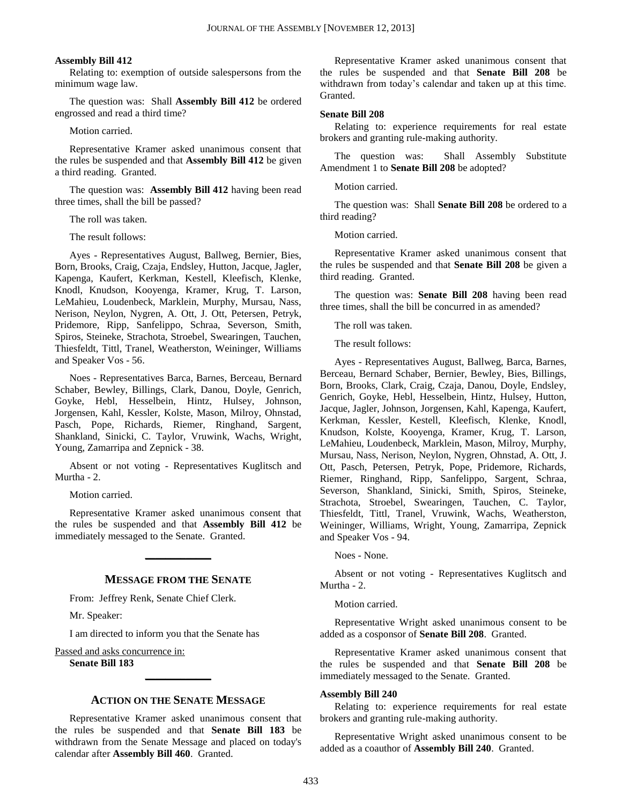## **Assembly Bill 412**

Relating to: exemption of outside salespersons from the minimum wage law.

The question was: Shall **Assembly Bill 412** be ordered engrossed and read a third time?

## Motion carried.

Representative Kramer asked unanimous consent that the rules be suspended and that **Assembly Bill 412** be given a third reading. Granted.

The question was: **Assembly Bill 412** having been read three times, shall the bill be passed?

The roll was taken.

The result follows:

Ayes - Representatives August, Ballweg, Bernier, Bies, Born, Brooks, Craig, Czaja, Endsley, Hutton, Jacque, Jagler, Kapenga, Kaufert, Kerkman, Kestell, Kleefisch, Klenke, Knodl, Knudson, Kooyenga, Kramer, Krug, T. Larson, LeMahieu, Loudenbeck, Marklein, Murphy, Mursau, Nass, Nerison, Neylon, Nygren, A. Ott, J. Ott, Petersen, Petryk, Pridemore, Ripp, Sanfelippo, Schraa, Severson, Smith, Spiros, Steineke, Strachota, Stroebel, Swearingen, Tauchen, Thiesfeldt, Tittl, Tranel, Weatherston, Weininger, Williams and Speaker Vos - 56.

Noes - Representatives Barca, Barnes, Berceau, Bernard Schaber, Bewley, Billings, Clark, Danou, Doyle, Genrich, Goyke, Hebl, Hesselbein, Hintz, Hulsey, Johnson, Jorgensen, Kahl, Kessler, Kolste, Mason, Milroy, Ohnstad, Pasch, Pope, Richards, Riemer, Ringhand, Sargent, Shankland, Sinicki, C. Taylor, Vruwink, Wachs, Wright, Young, Zamarripa and Zepnick - 38.

Absent or not voting - Representatives Kuglitsch and Murtha - 2.

Motion carried.

Representative Kramer asked unanimous consent that the rules be suspended and that **Assembly Bill 412** be immediately messaged to the Senate. Granted.

**\_\_\_\_\_\_\_\_\_\_\_\_\_**

## **MESSAGE FROM THE SENATE**

From: Jeffrey Renk, Senate Chief Clerk.

Mr. Speaker:

I am directed to inform you that the Senate has

#### Passed and asks concurrence in: **Senate Bill 183**

## **ACTION ON THE SENATE MESSAGE**

**\_\_\_\_\_\_\_\_\_\_\_\_\_**

Representative Kramer asked unanimous consent that the rules be suspended and that **Senate Bill 183** be withdrawn from the Senate Message and placed on today's calendar after **Assembly Bill 460**. Granted.

Representative Kramer asked unanimous consent that the rules be suspended and that **Senate Bill 208** be withdrawn from today's calendar and taken up at this time. Granted.

#### **Senate Bill 208**

Relating to: experience requirements for real estate brokers and granting rule-making authority.

The question was: Shall Assembly Substitute Amendment 1 to **Senate Bill 208** be adopted?

Motion carried.

The question was: Shall **Senate Bill 208** be ordered to a third reading?

Motion carried.

Representative Kramer asked unanimous consent that the rules be suspended and that **Senate Bill 208** be given a third reading. Granted.

The question was: **Senate Bill 208** having been read three times, shall the bill be concurred in as amended?

The roll was taken.

The result follows:

Ayes - Representatives August, Ballweg, Barca, Barnes, Berceau, Bernard Schaber, Bernier, Bewley, Bies, Billings, Born, Brooks, Clark, Craig, Czaja, Danou, Doyle, Endsley, Genrich, Goyke, Hebl, Hesselbein, Hintz, Hulsey, Hutton, Jacque, Jagler, Johnson, Jorgensen, Kahl, Kapenga, Kaufert, Kerkman, Kessler, Kestell, Kleefisch, Klenke, Knodl, Knudson, Kolste, Kooyenga, Kramer, Krug, T. Larson, LeMahieu, Loudenbeck, Marklein, Mason, Milroy, Murphy, Mursau, Nass, Nerison, Neylon, Nygren, Ohnstad, A. Ott, J. Ott, Pasch, Petersen, Petryk, Pope, Pridemore, Richards, Riemer, Ringhand, Ripp, Sanfelippo, Sargent, Schraa, Severson, Shankland, Sinicki, Smith, Spiros, Steineke, Strachota, Stroebel, Swearingen, Tauchen, C. Taylor, Thiesfeldt, Tittl, Tranel, Vruwink, Wachs, Weatherston, Weininger, Williams, Wright, Young, Zamarripa, Zepnick and Speaker Vos - 94.

Noes - None.

Absent or not voting - Representatives Kuglitsch and Murtha - 2.

Motion carried.

Representative Wright asked unanimous consent to be added as a cosponsor of **Senate Bill 208**. Granted.

Representative Kramer asked unanimous consent that the rules be suspended and that **Senate Bill 208** be immediately messaged to the Senate. Granted.

#### **Assembly Bill 240**

Relating to: experience requirements for real estate brokers and granting rule-making authority.

Representative Wright asked unanimous consent to be added as a coauthor of **Assembly Bill 240**. Granted.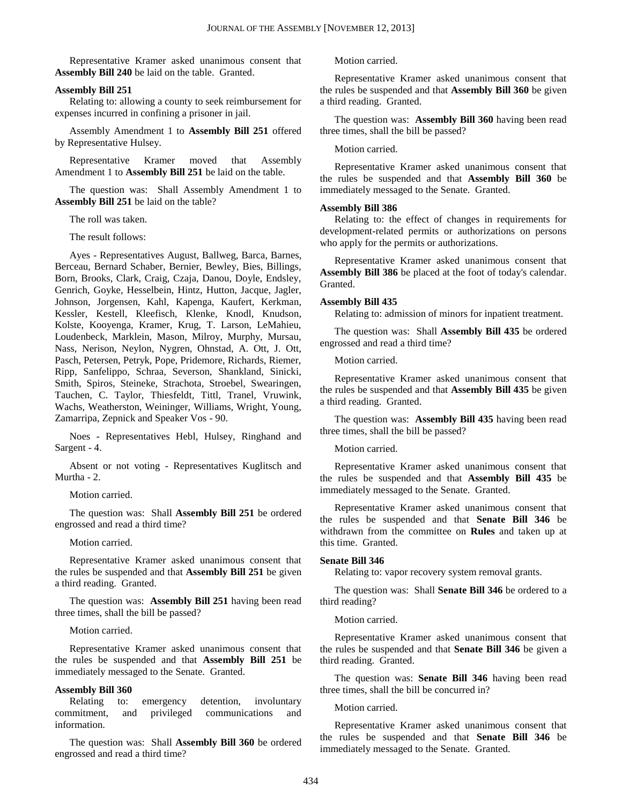Representative Kramer asked unanimous consent that **Assembly Bill 240** be laid on the table. Granted.

## **Assembly Bill 251**

Relating to: allowing a county to seek reimbursement for expenses incurred in confining a prisoner in jail.

Assembly Amendment 1 to **Assembly Bill 251** offered by Representative Hulsey.

Representative Kramer moved that Assembly Amendment 1 to **Assembly Bill 251** be laid on the table.

The question was: Shall Assembly Amendment 1 to **Assembly Bill 251** be laid on the table?

The roll was taken.

The result follows:

Ayes - Representatives August, Ballweg, Barca, Barnes, Berceau, Bernard Schaber, Bernier, Bewley, Bies, Billings, Born, Brooks, Clark, Craig, Czaja, Danou, Doyle, Endsley, Genrich, Goyke, Hesselbein, Hintz, Hutton, Jacque, Jagler, Johnson, Jorgensen, Kahl, Kapenga, Kaufert, Kerkman, Kessler, Kestell, Kleefisch, Klenke, Knodl, Knudson, Kolste, Kooyenga, Kramer, Krug, T. Larson, LeMahieu, Loudenbeck, Marklein, Mason, Milroy, Murphy, Mursau, Nass, Nerison, Neylon, Nygren, Ohnstad, A. Ott, J. Ott, Pasch, Petersen, Petryk, Pope, Pridemore, Richards, Riemer, Ripp, Sanfelippo, Schraa, Severson, Shankland, Sinicki, Smith, Spiros, Steineke, Strachota, Stroebel, Swearingen, Tauchen, C. Taylor, Thiesfeldt, Tittl, Tranel, Vruwink, Wachs, Weatherston, Weininger, Williams, Wright, Young, Zamarripa, Zepnick and Speaker Vos - 90.

Noes - Representatives Hebl, Hulsey, Ringhand and Sargent - 4.

Absent or not voting - Representatives Kuglitsch and Murtha - 2.

Motion carried.

The question was: Shall **Assembly Bill 251** be ordered engrossed and read a third time?

Motion carried.

Representative Kramer asked unanimous consent that the rules be suspended and that **Assembly Bill 251** be given a third reading. Granted.

The question was: **Assembly Bill 251** having been read three times, shall the bill be passed?

Motion carried.

Representative Kramer asked unanimous consent that the rules be suspended and that **Assembly Bill 251** be immediately messaged to the Senate. Granted.

#### **Assembly Bill 360**

Relating to: emergency detention, involuntary commitment, and privileged communications and information.

The question was: Shall **Assembly Bill 360** be ordered engrossed and read a third time?

Motion carried.

Representative Kramer asked unanimous consent that the rules be suspended and that **Assembly Bill 360** be given a third reading. Granted.

The question was: **Assembly Bill 360** having been read three times, shall the bill be passed?

## Motion carried.

Representative Kramer asked unanimous consent that the rules be suspended and that **Assembly Bill 360** be immediately messaged to the Senate. Granted.

#### **Assembly Bill 386**

Relating to: the effect of changes in requirements for development-related permits or authorizations on persons who apply for the permits or authorizations.

Representative Kramer asked unanimous consent that **Assembly Bill 386** be placed at the foot of today's calendar. Granted.

#### **Assembly Bill 435**

Relating to: admission of minors for inpatient treatment.

The question was: Shall **Assembly Bill 435** be ordered engrossed and read a third time?

Motion carried.

Representative Kramer asked unanimous consent that the rules be suspended and that **Assembly Bill 435** be given a third reading. Granted.

The question was: **Assembly Bill 435** having been read three times, shall the bill be passed?

#### Motion carried.

Representative Kramer asked unanimous consent that the rules be suspended and that **Assembly Bill 435** be immediately messaged to the Senate. Granted.

Representative Kramer asked unanimous consent that the rules be suspended and that **Senate Bill 346** be withdrawn from the committee on **Rules** and taken up at this time. Granted.

#### **Senate Bill 346**

Relating to: vapor recovery system removal grants.

The question was: Shall **Senate Bill 346** be ordered to a third reading?

#### Motion carried.

Representative Kramer asked unanimous consent that the rules be suspended and that **Senate Bill 346** be given a third reading. Granted.

The question was: **Senate Bill 346** having been read three times, shall the bill be concurred in?

#### Motion carried.

Representative Kramer asked unanimous consent that the rules be suspended and that **Senate Bill 346** be immediately messaged to the Senate. Granted.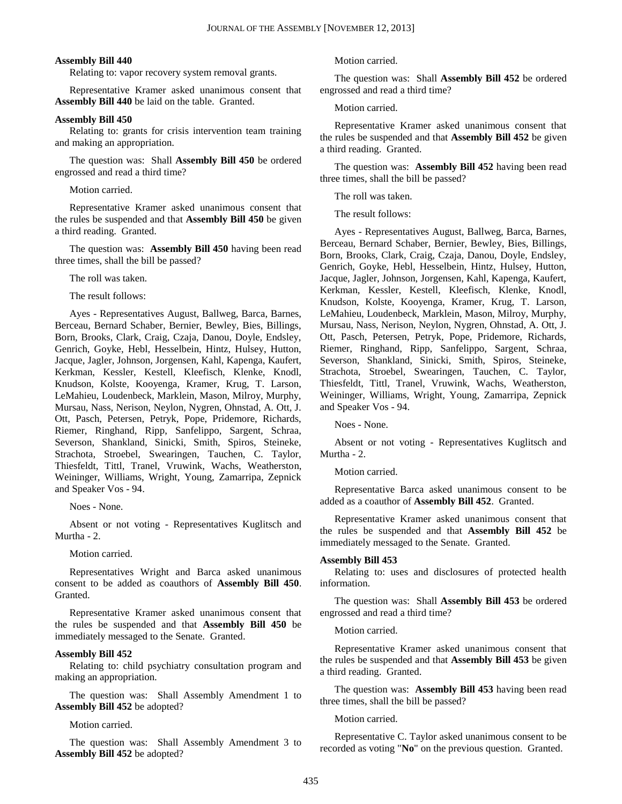#### **Assembly Bill 440**

Relating to: vapor recovery system removal grants.

Representative Kramer asked unanimous consent that **Assembly Bill 440** be laid on the table. Granted.

#### **Assembly Bill 450**

Relating to: grants for crisis intervention team training and making an appropriation.

The question was: Shall **Assembly Bill 450** be ordered engrossed and read a third time?

Motion carried.

Representative Kramer asked unanimous consent that the rules be suspended and that **Assembly Bill 450** be given a third reading. Granted.

The question was: **Assembly Bill 450** having been read three times, shall the bill be passed?

The roll was taken.

The result follows:

Ayes - Representatives August, Ballweg, Barca, Barnes, Berceau, Bernard Schaber, Bernier, Bewley, Bies, Billings, Born, Brooks, Clark, Craig, Czaja, Danou, Doyle, Endsley, Genrich, Goyke, Hebl, Hesselbein, Hintz, Hulsey, Hutton, Jacque, Jagler, Johnson, Jorgensen, Kahl, Kapenga, Kaufert, Kerkman, Kessler, Kestell, Kleefisch, Klenke, Knodl, Knudson, Kolste, Kooyenga, Kramer, Krug, T. Larson, LeMahieu, Loudenbeck, Marklein, Mason, Milroy, Murphy, Mursau, Nass, Nerison, Neylon, Nygren, Ohnstad, A. Ott, J. Ott, Pasch, Petersen, Petryk, Pope, Pridemore, Richards, Riemer, Ringhand, Ripp, Sanfelippo, Sargent, Schraa, Severson, Shankland, Sinicki, Smith, Spiros, Steineke, Strachota, Stroebel, Swearingen, Tauchen, C. Taylor, Thiesfeldt, Tittl, Tranel, Vruwink, Wachs, Weatherston, Weininger, Williams, Wright, Young, Zamarripa, Zepnick and Speaker Vos - 94.

Noes - None.

Absent or not voting - Representatives Kuglitsch and Murtha - 2.

Motion carried.

Representatives Wright and Barca asked unanimous consent to be added as coauthors of **Assembly Bill 450**. Granted.

Representative Kramer asked unanimous consent that the rules be suspended and that **Assembly Bill 450** be immediately messaged to the Senate. Granted.

## **Assembly Bill 452**

Relating to: child psychiatry consultation program and making an appropriation.

The question was: Shall Assembly Amendment 1 to **Assembly Bill 452** be adopted?

Motion carried.

The question was: Shall Assembly Amendment 3 to **Assembly Bill 452** be adopted?

Motion carried.

The question was: Shall **Assembly Bill 452** be ordered engrossed and read a third time?

Motion carried.

Representative Kramer asked unanimous consent that the rules be suspended and that **Assembly Bill 452** be given a third reading. Granted.

The question was: **Assembly Bill 452** having been read three times, shall the bill be passed?

The roll was taken.

The result follows:

Ayes - Representatives August, Ballweg, Barca, Barnes, Berceau, Bernard Schaber, Bernier, Bewley, Bies, Billings, Born, Brooks, Clark, Craig, Czaja, Danou, Doyle, Endsley, Genrich, Goyke, Hebl, Hesselbein, Hintz, Hulsey, Hutton, Jacque, Jagler, Johnson, Jorgensen, Kahl, Kapenga, Kaufert, Kerkman, Kessler, Kestell, Kleefisch, Klenke, Knodl, Knudson, Kolste, Kooyenga, Kramer, Krug, T. Larson, LeMahieu, Loudenbeck, Marklein, Mason, Milroy, Murphy, Mursau, Nass, Nerison, Neylon, Nygren, Ohnstad, A. Ott, J. Ott, Pasch, Petersen, Petryk, Pope, Pridemore, Richards, Riemer, Ringhand, Ripp, Sanfelippo, Sargent, Schraa, Severson, Shankland, Sinicki, Smith, Spiros, Steineke, Strachota, Stroebel, Swearingen, Tauchen, C. Taylor, Thiesfeldt, Tittl, Tranel, Vruwink, Wachs, Weatherston, Weininger, Williams, Wright, Young, Zamarripa, Zepnick and Speaker Vos - 94.

Noes - None.

Absent or not voting - Representatives Kuglitsch and Murtha - 2.

Motion carried.

Representative Barca asked unanimous consent to be added as a coauthor of **Assembly Bill 452**. Granted.

Representative Kramer asked unanimous consent that the rules be suspended and that **Assembly Bill 452** be immediately messaged to the Senate. Granted.

#### **Assembly Bill 453**

Relating to: uses and disclosures of protected health information.

The question was: Shall **Assembly Bill 453** be ordered engrossed and read a third time?

Motion carried.

Representative Kramer asked unanimous consent that the rules be suspended and that **Assembly Bill 453** be given a third reading. Granted.

The question was: **Assembly Bill 453** having been read three times, shall the bill be passed?

## Motion carried.

Representative C. Taylor asked unanimous consent to be recorded as voting "**No**" on the previous question. Granted.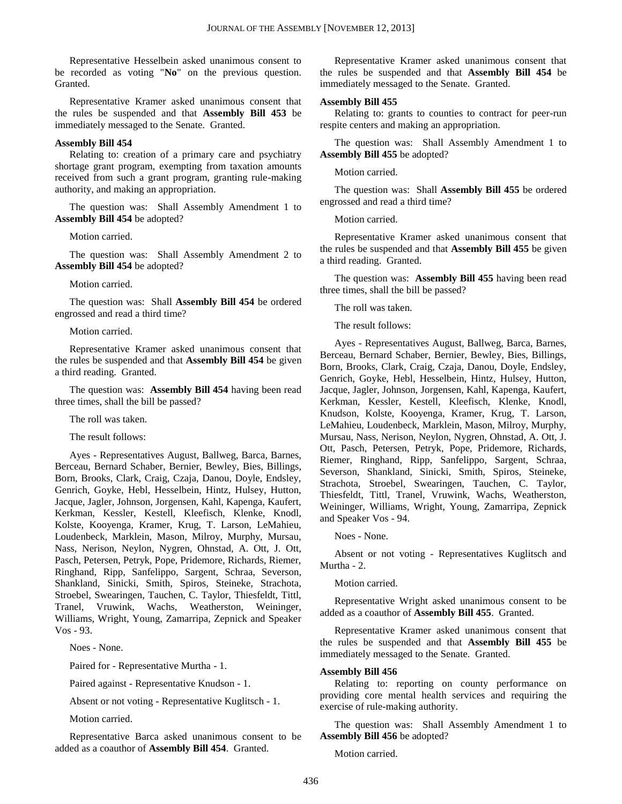Representative Hesselbein asked unanimous consent to be recorded as voting "**No**" on the previous question. Granted.

Representative Kramer asked unanimous consent that the rules be suspended and that **Assembly Bill 453** be immediately messaged to the Senate. Granted.

## **Assembly Bill 454**

Relating to: creation of a primary care and psychiatry shortage grant program, exempting from taxation amounts received from such a grant program, granting rule-making authority, and making an appropriation.

The question was: Shall Assembly Amendment 1 to **Assembly Bill 454** be adopted?

Motion carried.

The question was: Shall Assembly Amendment 2 to **Assembly Bill 454** be adopted?

Motion carried.

The question was: Shall **Assembly Bill 454** be ordered engrossed and read a third time?

Motion carried.

Representative Kramer asked unanimous consent that the rules be suspended and that **Assembly Bill 454** be given a third reading. Granted.

The question was: **Assembly Bill 454** having been read three times, shall the bill be passed?

The roll was taken.

The result follows:

Ayes - Representatives August, Ballweg, Barca, Barnes, Berceau, Bernard Schaber, Bernier, Bewley, Bies, Billings, Born, Brooks, Clark, Craig, Czaja, Danou, Doyle, Endsley, Genrich, Goyke, Hebl, Hesselbein, Hintz, Hulsey, Hutton, Jacque, Jagler, Johnson, Jorgensen, Kahl, Kapenga, Kaufert, Kerkman, Kessler, Kestell, Kleefisch, Klenke, Knodl, Kolste, Kooyenga, Kramer, Krug, T. Larson, LeMahieu, Loudenbeck, Marklein, Mason, Milroy, Murphy, Mursau, Nass, Nerison, Neylon, Nygren, Ohnstad, A. Ott, J. Ott, Pasch, Petersen, Petryk, Pope, Pridemore, Richards, Riemer, Ringhand, Ripp, Sanfelippo, Sargent, Schraa, Severson, Shankland, Sinicki, Smith, Spiros, Steineke, Strachota, Stroebel, Swearingen, Tauchen, C. Taylor, Thiesfeldt, Tittl, Tranel, Vruwink, Wachs, Weatherston, Weininger, Williams, Wright, Young, Zamarripa, Zepnick and Speaker Vos - 93.

Noes - None.

Paired for - Representative Murtha - 1.

Paired against - Representative Knudson - 1.

Absent or not voting - Representative Kuglitsch - 1.

Motion carried.

Representative Barca asked unanimous consent to be added as a coauthor of **Assembly Bill 454**. Granted.

Representative Kramer asked unanimous consent that the rules be suspended and that **Assembly Bill 454** be immediately messaged to the Senate. Granted.

#### **Assembly Bill 455**

Relating to: grants to counties to contract for peer-run respite centers and making an appropriation.

The question was: Shall Assembly Amendment 1 to **Assembly Bill 455** be adopted?

Motion carried.

The question was: Shall **Assembly Bill 455** be ordered engrossed and read a third time?

Motion carried.

Representative Kramer asked unanimous consent that the rules be suspended and that **Assembly Bill 455** be given a third reading. Granted.

The question was: **Assembly Bill 455** having been read three times, shall the bill be passed?

The roll was taken.

The result follows:

Ayes - Representatives August, Ballweg, Barca, Barnes, Berceau, Bernard Schaber, Bernier, Bewley, Bies, Billings, Born, Brooks, Clark, Craig, Czaja, Danou, Doyle, Endsley, Genrich, Goyke, Hebl, Hesselbein, Hintz, Hulsey, Hutton, Jacque, Jagler, Johnson, Jorgensen, Kahl, Kapenga, Kaufert, Kerkman, Kessler, Kestell, Kleefisch, Klenke, Knodl, Knudson, Kolste, Kooyenga, Kramer, Krug, T. Larson, LeMahieu, Loudenbeck, Marklein, Mason, Milroy, Murphy, Mursau, Nass, Nerison, Neylon, Nygren, Ohnstad, A. Ott, J. Ott, Pasch, Petersen, Petryk, Pope, Pridemore, Richards, Riemer, Ringhand, Ripp, Sanfelippo, Sargent, Schraa, Severson, Shankland, Sinicki, Smith, Spiros, Steineke, Strachota, Stroebel, Swearingen, Tauchen, C. Taylor, Thiesfeldt, Tittl, Tranel, Vruwink, Wachs, Weatherston, Weininger, Williams, Wright, Young, Zamarripa, Zepnick and Speaker Vos - 94.

#### Noes - None.

Absent or not voting - Representatives Kuglitsch and Murtha - 2.

#### Motion carried.

Representative Wright asked unanimous consent to be added as a coauthor of **Assembly Bill 455**. Granted.

Representative Kramer asked unanimous consent that the rules be suspended and that **Assembly Bill 455** be immediately messaged to the Senate. Granted.

#### **Assembly Bill 456**

Relating to: reporting on county performance on providing core mental health services and requiring the exercise of rule-making authority.

The question was: Shall Assembly Amendment 1 to **Assembly Bill 456** be adopted?

Motion carried.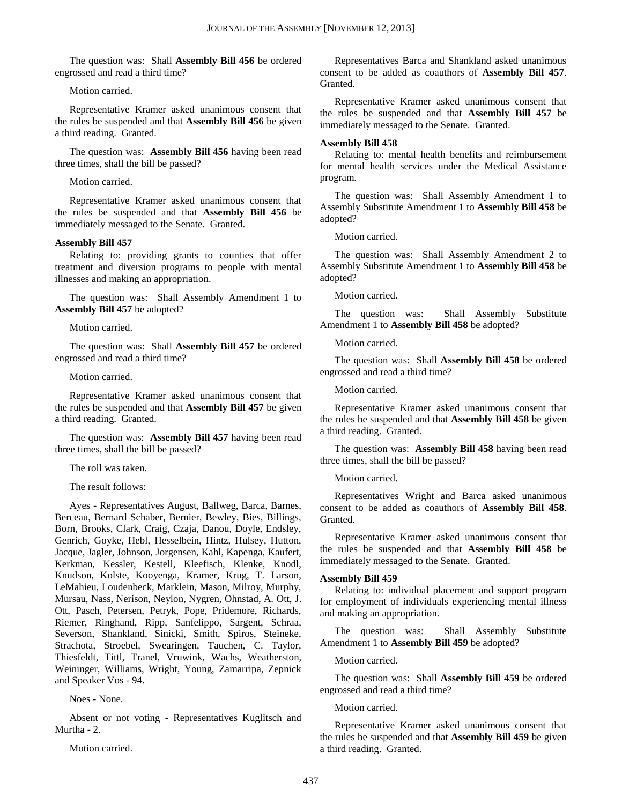The question was: Shall **Assembly Bill 456** be ordered engrossed and read a third time?

Motion carried.

Representative Kramer asked unanimous consent that the rules be suspended and that **Assembly Bill 456** be given a third reading. Granted.

The question was: **Assembly Bill 456** having been read three times, shall the bill be passed?

Motion carried.

Representative Kramer asked unanimous consent that the rules be suspended and that **Assembly Bill 456** be immediately messaged to the Senate. Granted.

#### **Assembly Bill 457**

Relating to: providing grants to counties that offer treatment and diversion programs to people with mental illnesses and making an appropriation.

The question was: Shall Assembly Amendment 1 to **Assembly Bill 457** be adopted?

Motion carried.

The question was: Shall **Assembly Bill 457** be ordered engrossed and read a third time?

Motion carried.

Representative Kramer asked unanimous consent that the rules be suspended and that **Assembly Bill 457** be given a third reading. Granted.

The question was: **Assembly Bill 457** having been read three times, shall the bill be passed?

The roll was taken.

The result follows:

Ayes - Representatives August, Ballweg, Barca, Barnes, Berceau, Bernard Schaber, Bernier, Bewley, Bies, Billings, Born, Brooks, Clark, Craig, Czaja, Danou, Doyle, Endsley, Genrich, Goyke, Hebl, Hesselbein, Hintz, Hulsey, Hutton, Jacque, Jagler, Johnson, Jorgensen, Kahl, Kapenga, Kaufert, Kerkman, Kessler, Kestell, Kleefisch, Klenke, Knodl, Knudson, Kolste, Kooyenga, Kramer, Krug, T. Larson, LeMahieu, Loudenbeck, Marklein, Mason, Milroy, Murphy, Mursau, Nass, Nerison, Neylon, Nygren, Ohnstad, A. Ott, J. Ott, Pasch, Petersen, Petryk, Pope, Pridemore, Richards, Riemer, Ringhand, Ripp, Sanfelippo, Sargent, Schraa, Severson, Shankland, Sinicki, Smith, Spiros, Steineke, Strachota, Stroebel, Swearingen, Tauchen, C. Taylor, Thiesfeldt, Tittl, Tranel, Vruwink, Wachs, Weatherston, Weininger, Williams, Wright, Young, Zamarripa, Zepnick and Speaker Vos - 94.

Noes - None.

Absent or not voting - Representatives Kuglitsch and Murtha - 2.

Motion carried.

Representatives Barca and Shankland asked unanimous consent to be added as coauthors of **Assembly Bill 457**. Granted.

Representative Kramer asked unanimous consent that the rules be suspended and that **Assembly Bill 457** be immediately messaged to the Senate. Granted.

#### **Assembly Bill 458**

Relating to: mental health benefits and reimbursement for mental health services under the Medical Assistance program.

The question was: Shall Assembly Amendment 1 to Assembly Substitute Amendment 1 to **Assembly Bill 458** be adopted?

Motion carried.

The question was: Shall Assembly Amendment 2 to Assembly Substitute Amendment 1 to **Assembly Bill 458** be adopted?

Motion carried.

The question was: Shall Assembly Substitute Amendment 1 to **Assembly Bill 458** be adopted?

Motion carried.

The question was: Shall **Assembly Bill 458** be ordered engrossed and read a third time?

Motion carried.

Representative Kramer asked unanimous consent that the rules be suspended and that **Assembly Bill 458** be given a third reading. Granted.

The question was: **Assembly Bill 458** having been read three times, shall the bill be passed?

Motion carried.

Representatives Wright and Barca asked unanimous consent to be added as coauthors of **Assembly Bill 458**. Granted.

Representative Kramer asked unanimous consent that the rules be suspended and that **Assembly Bill 458** be immediately messaged to the Senate. Granted.

#### **Assembly Bill 459**

Relating to: individual placement and support program for employment of individuals experiencing mental illness and making an appropriation.

The question was: Shall Assembly Substitute Amendment 1 to **Assembly Bill 459** be adopted?

Motion carried.

The question was: Shall **Assembly Bill 459** be ordered engrossed and read a third time?

Motion carried.

Representative Kramer asked unanimous consent that the rules be suspended and that **Assembly Bill 459** be given a third reading. Granted.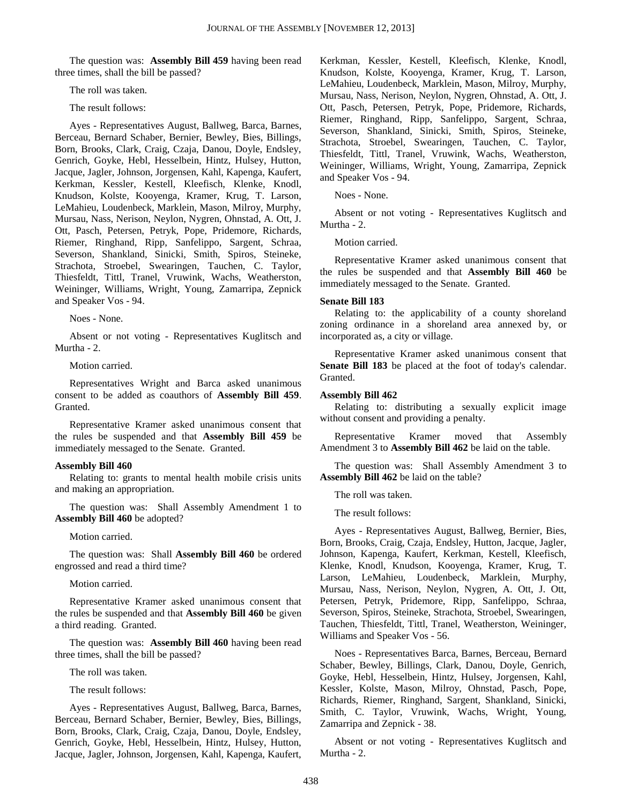The question was: **Assembly Bill 459** having been read three times, shall the bill be passed?

The roll was taken.

The result follows:

Ayes - Representatives August, Ballweg, Barca, Barnes, Berceau, Bernard Schaber, Bernier, Bewley, Bies, Billings, Born, Brooks, Clark, Craig, Czaja, Danou, Doyle, Endsley, Genrich, Goyke, Hebl, Hesselbein, Hintz, Hulsey, Hutton, Jacque, Jagler, Johnson, Jorgensen, Kahl, Kapenga, Kaufert, Kerkman, Kessler, Kestell, Kleefisch, Klenke, Knodl, Knudson, Kolste, Kooyenga, Kramer, Krug, T. Larson, LeMahieu, Loudenbeck, Marklein, Mason, Milroy, Murphy, Mursau, Nass, Nerison, Neylon, Nygren, Ohnstad, A. Ott, J. Ott, Pasch, Petersen, Petryk, Pope, Pridemore, Richards, Riemer, Ringhand, Ripp, Sanfelippo, Sargent, Schraa, Severson, Shankland, Sinicki, Smith, Spiros, Steineke, Strachota, Stroebel, Swearingen, Tauchen, C. Taylor, Thiesfeldt, Tittl, Tranel, Vruwink, Wachs, Weatherston, Weininger, Williams, Wright, Young, Zamarripa, Zepnick and Speaker Vos - 94.

Noes - None.

Absent or not voting - Representatives Kuglitsch and Murtha - 2.

Motion carried.

Representatives Wright and Barca asked unanimous consent to be added as coauthors of **Assembly Bill 459**. Granted.

Representative Kramer asked unanimous consent that the rules be suspended and that **Assembly Bill 459** be immediately messaged to the Senate. Granted.

#### **Assembly Bill 460**

Relating to: grants to mental health mobile crisis units and making an appropriation.

The question was: Shall Assembly Amendment 1 to **Assembly Bill 460** be adopted?

Motion carried.

The question was: Shall **Assembly Bill 460** be ordered engrossed and read a third time?

Motion carried.

Representative Kramer asked unanimous consent that the rules be suspended and that **Assembly Bill 460** be given a third reading. Granted.

The question was: **Assembly Bill 460** having been read three times, shall the bill be passed?

The roll was taken.

The result follows:

Ayes - Representatives August, Ballweg, Barca, Barnes, Berceau, Bernard Schaber, Bernier, Bewley, Bies, Billings, Born, Brooks, Clark, Craig, Czaja, Danou, Doyle, Endsley, Genrich, Goyke, Hebl, Hesselbein, Hintz, Hulsey, Hutton, Jacque, Jagler, Johnson, Jorgensen, Kahl, Kapenga, Kaufert, Kerkman, Kessler, Kestell, Kleefisch, Klenke, Knodl, Knudson, Kolste, Kooyenga, Kramer, Krug, T. Larson, LeMahieu, Loudenbeck, Marklein, Mason, Milroy, Murphy, Mursau, Nass, Nerison, Neylon, Nygren, Ohnstad, A. Ott, J. Ott, Pasch, Petersen, Petryk, Pope, Pridemore, Richards, Riemer, Ringhand, Ripp, Sanfelippo, Sargent, Schraa, Severson, Shankland, Sinicki, Smith, Spiros, Steineke, Strachota, Stroebel, Swearingen, Tauchen, C. Taylor, Thiesfeldt, Tittl, Tranel, Vruwink, Wachs, Weatherston, Weininger, Williams, Wright, Young, Zamarripa, Zepnick and Speaker Vos - 94.

Noes - None.

Absent or not voting - Representatives Kuglitsch and Murtha - 2.

Motion carried.

Representative Kramer asked unanimous consent that the rules be suspended and that **Assembly Bill 460** be immediately messaged to the Senate. Granted.

## **Senate Bill 183**

Relating to: the applicability of a county shoreland zoning ordinance in a shoreland area annexed by, or incorporated as, a city or village.

Representative Kramer asked unanimous consent that **Senate Bill 183** be placed at the foot of today's calendar. Granted.

## **Assembly Bill 462**

Relating to: distributing a sexually explicit image without consent and providing a penalty.

Representative Kramer moved that Assembly Amendment 3 to **Assembly Bill 462** be laid on the table.

The question was: Shall Assembly Amendment 3 to **Assembly Bill 462** be laid on the table?

The roll was taken.

The result follows:

Ayes - Representatives August, Ballweg, Bernier, Bies, Born, Brooks, Craig, Czaja, Endsley, Hutton, Jacque, Jagler, Johnson, Kapenga, Kaufert, Kerkman, Kestell, Kleefisch, Klenke, Knodl, Knudson, Kooyenga, Kramer, Krug, T. Larson, LeMahieu, Loudenbeck, Marklein, Murphy, Mursau, Nass, Nerison, Neylon, Nygren, A. Ott, J. Ott, Petersen, Petryk, Pridemore, Ripp, Sanfelippo, Schraa, Severson, Spiros, Steineke, Strachota, Stroebel, Swearingen, Tauchen, Thiesfeldt, Tittl, Tranel, Weatherston, Weininger, Williams and Speaker Vos - 56.

Noes - Representatives Barca, Barnes, Berceau, Bernard Schaber, Bewley, Billings, Clark, Danou, Doyle, Genrich, Goyke, Hebl, Hesselbein, Hintz, Hulsey, Jorgensen, Kahl, Kessler, Kolste, Mason, Milroy, Ohnstad, Pasch, Pope, Richards, Riemer, Ringhand, Sargent, Shankland, Sinicki, Smith, C. Taylor, Vruwink, Wachs, Wright, Young, Zamarripa and Zepnick - 38.

Absent or not voting - Representatives Kuglitsch and Murtha - 2.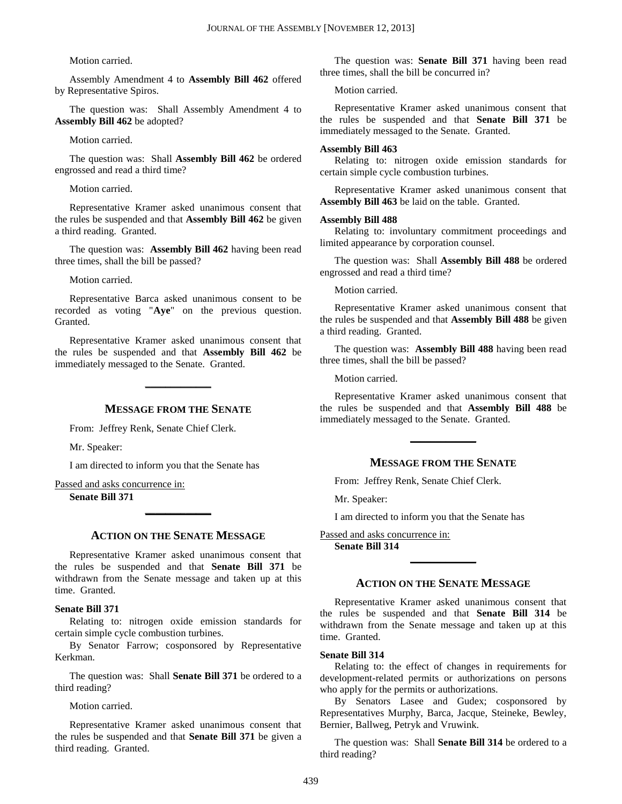Motion carried.

Assembly Amendment 4 to **Assembly Bill 462** offered by Representative Spiros.

The question was: Shall Assembly Amendment 4 to **Assembly Bill 462** be adopted?

Motion carried.

The question was: Shall **Assembly Bill 462** be ordered engrossed and read a third time?

Motion carried.

Representative Kramer asked unanimous consent that the rules be suspended and that **Assembly Bill 462** be given a third reading. Granted.

The question was: **Assembly Bill 462** having been read three times, shall the bill be passed?

Motion carried.

Representative Barca asked unanimous consent to be recorded as voting "**Aye**" on the previous question. Granted.

Representative Kramer asked unanimous consent that the rules be suspended and that **Assembly Bill 462** be immediately messaged to the Senate. Granted.

## **MESSAGE FROM THE SENATE**

**\_\_\_\_\_\_\_\_\_\_\_\_\_**

From: Jeffrey Renk, Senate Chief Clerk.

Mr. Speaker:

I am directed to inform you that the Senate has

Passed and asks concurrence in: **Senate Bill 371** 

**ACTION ON THE SENATE MESSAGE**

**\_\_\_\_\_\_\_\_\_\_\_\_\_**

Representative Kramer asked unanimous consent that the rules be suspended and that **Senate Bill 371** be withdrawn from the Senate message and taken up at this time. Granted.

## **Senate Bill 371**

Relating to: nitrogen oxide emission standards for certain simple cycle combustion turbines.

By Senator Farrow; cosponsored by Representative Kerkman.

The question was: Shall **Senate Bill 371** be ordered to a third reading?

Motion carried.

Representative Kramer asked unanimous consent that the rules be suspended and that **Senate Bill 371** be given a third reading. Granted.

The question was: **Senate Bill 371** having been read three times, shall the bill be concurred in?

Motion carried.

Representative Kramer asked unanimous consent that the rules be suspended and that **Senate Bill 371** be immediately messaged to the Senate. Granted.

#### **Assembly Bill 463**

Relating to: nitrogen oxide emission standards for certain simple cycle combustion turbines.

Representative Kramer asked unanimous consent that **Assembly Bill 463** be laid on the table. Granted.

## **Assembly Bill 488**

Relating to: involuntary commitment proceedings and limited appearance by corporation counsel.

The question was: Shall **Assembly Bill 488** be ordered engrossed and read a third time?

Motion carried.

Representative Kramer asked unanimous consent that the rules be suspended and that **Assembly Bill 488** be given a third reading. Granted.

The question was: **Assembly Bill 488** having been read three times, shall the bill be passed?

Motion carried.

Representative Kramer asked unanimous consent that the rules be suspended and that **Assembly Bill 488** be immediately messaged to the Senate. Granted.

**\_\_\_\_\_\_\_\_\_\_\_\_\_**

## **MESSAGE FROM THE SENATE**

From: Jeffrey Renk, Senate Chief Clerk.

Mr. Speaker:

I am directed to inform you that the Senate has

## Passed and asks concurrence in:

**Senate Bill 314** 

## **ACTION ON THE SENATE MESSAGE**

**\_\_\_\_\_\_\_\_\_\_\_\_\_**

Representative Kramer asked unanimous consent that the rules be suspended and that **Senate Bill 314** be withdrawn from the Senate message and taken up at this time. Granted.

#### **Senate Bill 314**

Relating to: the effect of changes in requirements for development-related permits or authorizations on persons who apply for the permits or authorizations.

By Senators Lasee and Gudex; cosponsored by Representatives Murphy, Barca, Jacque, Steineke, Bewley, Bernier, Ballweg, Petryk and Vruwink.

The question was: Shall **Senate Bill 314** be ordered to a third reading?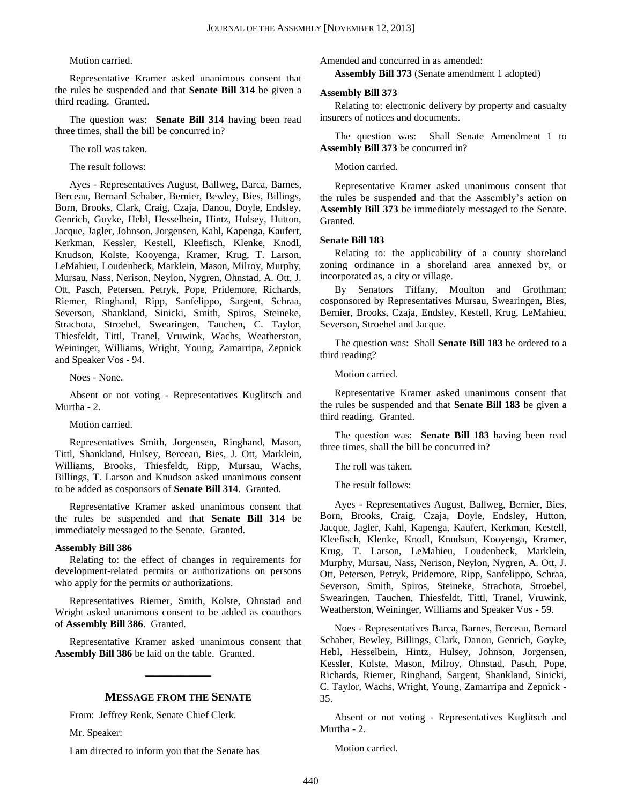## Motion carried.

Representative Kramer asked unanimous consent that the rules be suspended and that **Senate Bill 314** be given a third reading. Granted.

The question was: **Senate Bill 314** having been read three times, shall the bill be concurred in?

The roll was taken.

The result follows:

Ayes - Representatives August, Ballweg, Barca, Barnes, Berceau, Bernard Schaber, Bernier, Bewley, Bies, Billings, Born, Brooks, Clark, Craig, Czaja, Danou, Doyle, Endsley, Genrich, Goyke, Hebl, Hesselbein, Hintz, Hulsey, Hutton, Jacque, Jagler, Johnson, Jorgensen, Kahl, Kapenga, Kaufert, Kerkman, Kessler, Kestell, Kleefisch, Klenke, Knodl, Knudson, Kolste, Kooyenga, Kramer, Krug, T. Larson, LeMahieu, Loudenbeck, Marklein, Mason, Milroy, Murphy, Mursau, Nass, Nerison, Neylon, Nygren, Ohnstad, A. Ott, J. Ott, Pasch, Petersen, Petryk, Pope, Pridemore, Richards, Riemer, Ringhand, Ripp, Sanfelippo, Sargent, Schraa, Severson, Shankland, Sinicki, Smith, Spiros, Steineke, Strachota, Stroebel, Swearingen, Tauchen, C. Taylor, Thiesfeldt, Tittl, Tranel, Vruwink, Wachs, Weatherston, Weininger, Williams, Wright, Young, Zamarripa, Zepnick and Speaker Vos - 94.

Noes - None.

Absent or not voting - Representatives Kuglitsch and Murtha - 2.

Motion carried.

Representatives Smith, Jorgensen, Ringhand, Mason, Tittl, Shankland, Hulsey, Berceau, Bies, J. Ott, Marklein, Williams, Brooks, Thiesfeldt, Ripp, Mursau, Wachs, Billings, T. Larson and Knudson asked unanimous consent to be added as cosponsors of **Senate Bill 314**. Granted.

Representative Kramer asked unanimous consent that the rules be suspended and that **Senate Bill 314** be immediately messaged to the Senate. Granted.

## **Assembly Bill 386**

Relating to: the effect of changes in requirements for development-related permits or authorizations on persons who apply for the permits or authorizations.

Representatives Riemer, Smith, Kolste, Ohnstad and Wright asked unanimous consent to be added as coauthors of **Assembly Bill 386**. Granted.

Representative Kramer asked unanimous consent that **Assembly Bill 386** be laid on the table. Granted.

**\_\_\_\_\_\_\_\_\_\_\_\_\_**

## **MESSAGE FROM THE SENATE**

From: Jeffrey Renk, Senate Chief Clerk.

Mr. Speaker:

I am directed to inform you that the Senate has

Amended and concurred in as amended:

**Assembly Bill 373** (Senate amendment 1 adopted)

#### **Assembly Bill 373**

Relating to: electronic delivery by property and casualty insurers of notices and documents.

The question was: Shall Senate Amendment 1 to **Assembly Bill 373** be concurred in?

## Motion carried.

Representative Kramer asked unanimous consent that the rules be suspended and that the Assembly's action on **Assembly Bill 373** be immediately messaged to the Senate. Granted.

## **Senate Bill 183**

Relating to: the applicability of a county shoreland zoning ordinance in a shoreland area annexed by, or incorporated as, a city or village.

By Senators Tiffany, Moulton and Grothman; cosponsored by Representatives Mursau, Swearingen, Bies, Bernier, Brooks, Czaja, Endsley, Kestell, Krug, LeMahieu, Severson, Stroebel and Jacque.

The question was: Shall **Senate Bill 183** be ordered to a third reading?

Motion carried.

Representative Kramer asked unanimous consent that the rules be suspended and that **Senate Bill 183** be given a third reading. Granted.

The question was: **Senate Bill 183** having been read three times, shall the bill be concurred in?

The roll was taken.

The result follows:

Ayes - Representatives August, Ballweg, Bernier, Bies, Born, Brooks, Craig, Czaja, Doyle, Endsley, Hutton, Jacque, Jagler, Kahl, Kapenga, Kaufert, Kerkman, Kestell, Kleefisch, Klenke, Knodl, Knudson, Kooyenga, Kramer, Krug, T. Larson, LeMahieu, Loudenbeck, Marklein, Murphy, Mursau, Nass, Nerison, Neylon, Nygren, A. Ott, J. Ott, Petersen, Petryk, Pridemore, Ripp, Sanfelippo, Schraa, Severson, Smith, Spiros, Steineke, Strachota, Stroebel, Swearingen, Tauchen, Thiesfeldt, Tittl, Tranel, Vruwink, Weatherston, Weininger, Williams and Speaker Vos - 59.

Noes - Representatives Barca, Barnes, Berceau, Bernard Schaber, Bewley, Billings, Clark, Danou, Genrich, Goyke, Hebl, Hesselbein, Hintz, Hulsey, Johnson, Jorgensen, Kessler, Kolste, Mason, Milroy, Ohnstad, Pasch, Pope, Richards, Riemer, Ringhand, Sargent, Shankland, Sinicki, C. Taylor, Wachs, Wright, Young, Zamarripa and Zepnick - 35.

Absent or not voting - Representatives Kuglitsch and Murtha - 2.

Motion carried.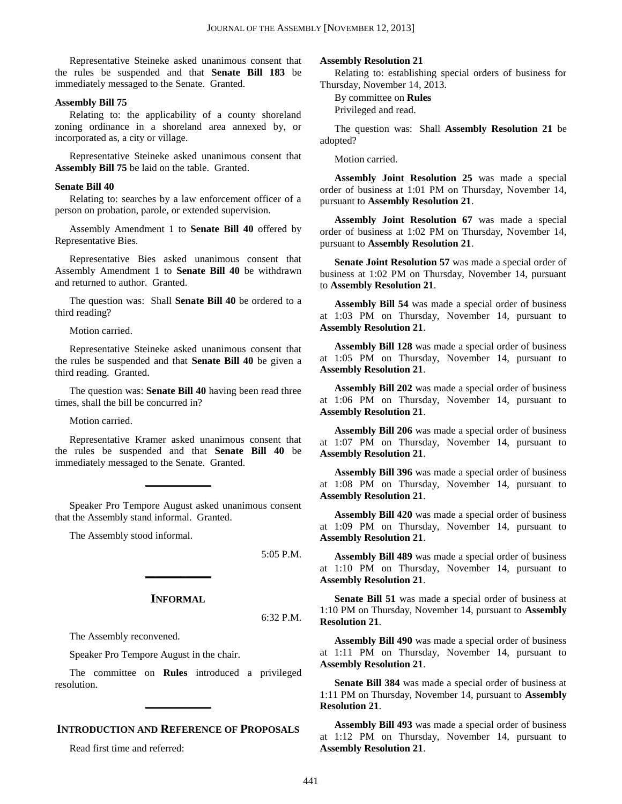Representative Steineke asked unanimous consent that the rules be suspended and that **Senate Bill 183** be immediately messaged to the Senate. Granted.

#### **Assembly Bill 75**

Relating to: the applicability of a county shoreland zoning ordinance in a shoreland area annexed by, or incorporated as, a city or village.

Representative Steineke asked unanimous consent that **Assembly Bill 75** be laid on the table. Granted.

## **Senate Bill 40**

Relating to: searches by a law enforcement officer of a person on probation, parole, or extended supervision.

Assembly Amendment 1 to **Senate Bill 40** offered by Representative Bies.

Representative Bies asked unanimous consent that Assembly Amendment 1 to **Senate Bill 40** be withdrawn and returned to author. Granted.

The question was: Shall **Senate Bill 40** be ordered to a third reading?

Motion carried.

Representative Steineke asked unanimous consent that the rules be suspended and that **Senate Bill 40** be given a third reading. Granted.

The question was: **Senate Bill 40** having been read three times, shall the bill be concurred in?

Motion carried.

Representative Kramer asked unanimous consent that the rules be suspended and that **Senate Bill 40** be immediately messaged to the Senate. Granted.

Speaker Pro Tempore August asked unanimous consent that the Assembly stand informal. Granted.

**\_\_\_\_\_\_\_\_\_\_\_\_\_**

The Assembly stood informal.

5:05 P.M.

## **INFORMAL**

**\_\_\_\_\_\_\_\_\_\_\_\_\_**

6:32 P.M.

The Assembly reconvened.

Speaker Pro Tempore August in the chair.

The committee on **Rules** introduced a privileged resolution.

**\_\_\_\_\_\_\_\_\_\_\_\_\_**

## **INTRODUCTION AND REFERENCE OF PROPOSALS**

Read first time and referred:

## **Assembly Resolution 21**

Relating to: establishing special orders of business for Thursday, November 14, 2013.

By committee on **Rules**

Privileged and read.

The question was: Shall **Assembly Resolution 21** be adopted?

Motion carried.

**Assembly Joint Resolution 25** was made a special order of business at 1:01 PM on Thursday, November 14, pursuant to **Assembly Resolution 21**.

**Assembly Joint Resolution 67** was made a special order of business at 1:02 PM on Thursday, November 14, pursuant to **Assembly Resolution 21**.

**Senate Joint Resolution 57** was made a special order of business at 1:02 PM on Thursday, November 14, pursuant to **Assembly Resolution 21**.

**Assembly Bill 54** was made a special order of business at 1:03 PM on Thursday, November 14, pursuant to **Assembly Resolution 21**.

**Assembly Bill 128** was made a special order of business at 1:05 PM on Thursday, November 14, pursuant to **Assembly Resolution 21**.

**Assembly Bill 202** was made a special order of business at 1:06 PM on Thursday, November 14, pursuant to **Assembly Resolution 21**.

**Assembly Bill 206** was made a special order of business at 1:07 PM on Thursday, November 14, pursuant to **Assembly Resolution 21**.

**Assembly Bill 396** was made a special order of business at 1:08 PM on Thursday, November 14, pursuant to **Assembly Resolution 21**.

**Assembly Bill 420** was made a special order of business at 1:09 PM on Thursday, November 14, pursuant to **Assembly Resolution 21**.

**Assembly Bill 489** was made a special order of business at 1:10 PM on Thursday, November 14, pursuant to **Assembly Resolution 21**.

**Senate Bill 51** was made a special order of business at 1:10 PM on Thursday, November 14, pursuant to **Assembly Resolution 21**.

**Assembly Bill 490** was made a special order of business at 1:11 PM on Thursday, November 14, pursuant to **Assembly Resolution 21**.

**Senate Bill 384** was made a special order of business at 1:11 PM on Thursday, November 14, pursuant to **Assembly Resolution 21**.

**Assembly Bill 493** was made a special order of business at 1:12 PM on Thursday, November 14, pursuant to **Assembly Resolution 21**.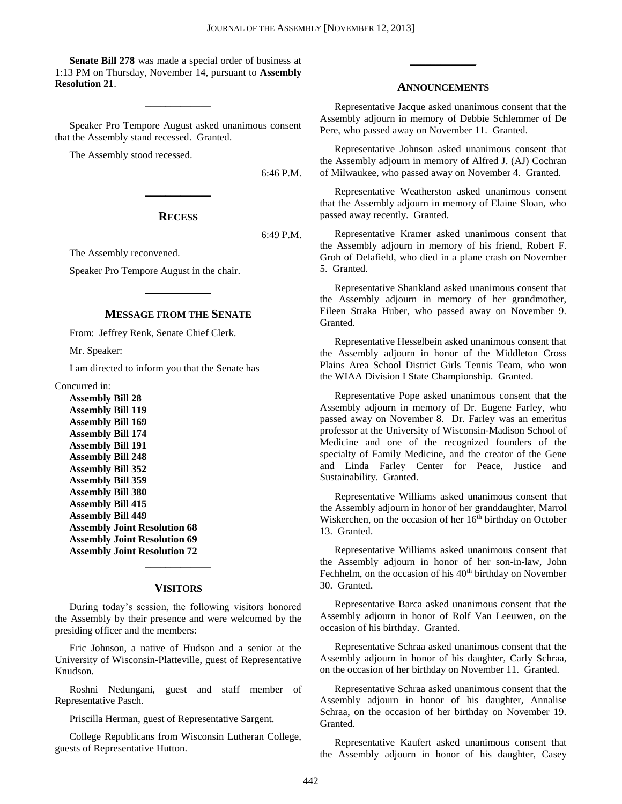**Senate Bill 278** was made a special order of business at 1:13 PM on Thursday, November 14, pursuant to **Assembly Resolution 21**.

**\_\_\_\_\_\_\_\_\_\_\_\_\_**

Speaker Pro Tempore August asked unanimous consent that the Assembly stand recessed. Granted.

The Assembly stood recessed.

6:46 P.M.

## **RECESS**

**\_\_\_\_\_\_\_\_\_\_\_\_\_**

6:49 P.M.

The Assembly reconvened.

Speaker Pro Tempore August in the chair.

## **MESSAGE FROM THE SENATE**

**\_\_\_\_\_\_\_\_\_\_\_\_\_**

From: Jeffrey Renk, Senate Chief Clerk.

Mr. Speaker:

I am directed to inform you that the Senate has

Concurred in:

**Assembly Bill 28 Assembly Bill 119 Assembly Bill 169 Assembly Bill 174 Assembly Bill 191 Assembly Bill 248 Assembly Bill 352 Assembly Bill 359 Assembly Bill 380 Assembly Bill 415 Assembly Bill 449 Assembly Joint Resolution 68 Assembly Joint Resolution 69 Assembly Joint Resolution 72**

## **VISITORS**

**\_\_\_\_\_\_\_\_\_\_\_\_\_**

During today's session, the following visitors honored the Assembly by their presence and were welcomed by the presiding officer and the members:

Eric Johnson, a native of Hudson and a senior at the University of Wisconsin-Platteville, guest of Representative Knudson.

Roshni Nedungani, guest and staff member of Representative Pasch.

Priscilla Herman, guest of Representative Sargent.

College Republicans from Wisconsin Lutheran College, guests of Representative Hutton.

### **ANNOUNCEMENTS**

**\_\_\_\_\_\_\_\_\_\_\_\_\_**

Representative Jacque asked unanimous consent that the Assembly adjourn in memory of Debbie Schlemmer of De Pere, who passed away on November 11. Granted.

Representative Johnson asked unanimous consent that the Assembly adjourn in memory of Alfred J. (AJ) Cochran of Milwaukee, who passed away on November 4. Granted.

Representative Weatherston asked unanimous consent that the Assembly adjourn in memory of Elaine Sloan, who passed away recently. Granted.

Representative Kramer asked unanimous consent that the Assembly adjourn in memory of his friend, Robert F. Groh of Delafield, who died in a plane crash on November 5. Granted.

Representative Shankland asked unanimous consent that the Assembly adjourn in memory of her grandmother, Eileen Straka Huber, who passed away on November 9. Granted.

Representative Hesselbein asked unanimous consent that the Assembly adjourn in honor of the Middleton Cross Plains Area School District Girls Tennis Team, who won the WIAA Division I State Championship. Granted.

Representative Pope asked unanimous consent that the Assembly adjourn in memory of Dr. Eugene Farley, who passed away on November 8. Dr. Farley was an emeritus professor at the University of Wisconsin-Madison School of Medicine and one of the recognized founders of the specialty of Family Medicine, and the creator of the Gene and Linda Farley Center for Peace, Justice and Sustainability. Granted.

Representative Williams asked unanimous consent that the Assembly adjourn in honor of her granddaughter, Marrol Wiskerchen, on the occasion of her 16<sup>th</sup> birthday on October 13. Granted.

Representative Williams asked unanimous consent that the Assembly adjourn in honor of her son-in-law, John Fechhelm, on the occasion of his 40<sup>th</sup> birthday on November 30. Granted.

Representative Barca asked unanimous consent that the Assembly adjourn in honor of Rolf Van Leeuwen, on the occasion of his birthday. Granted.

Representative Schraa asked unanimous consent that the Assembly adjourn in honor of his daughter, Carly Schraa, on the occasion of her birthday on November 11. Granted.

Representative Schraa asked unanimous consent that the Assembly adjourn in honor of his daughter, Annalise Schraa, on the occasion of her birthday on November 19. Granted.

Representative Kaufert asked unanimous consent that the Assembly adjourn in honor of his daughter, Casey